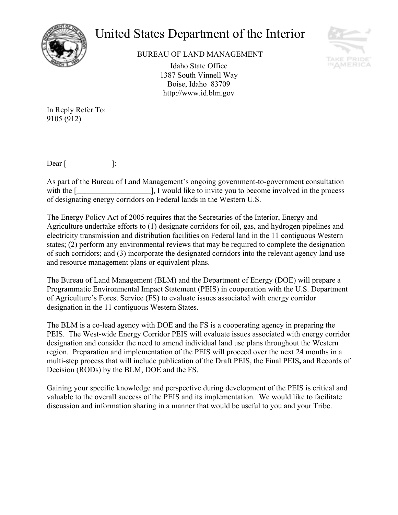

## United States Department of the Interior



BUREAU OF LAND MANAGEMENT

Idaho State Office 1387 South Vinnell Way Boise, Idaho 83709 http://www.id.blm.gov

In Reply Refer To: 9105 (912)

 $\text{Dear}$  [:

As part of the Bureau of Land Management's ongoing government-to-government consultation with the [1, I would like to invite you to become involved in the process of designating energy corridors on Federal lands in the Western U.S.

The Energy Policy Act of 2005 requires that the Secretaries of the Interior, Energy and Agriculture undertake efforts to (1) designate corridors for oil, gas, and hydrogen pipelines and electricity transmission and distribution facilities on Federal land in the 11 contiguous Western states; (2) perform any environmental reviews that may be required to complete the designation of such corridors; and (3) incorporate the designated corridors into the relevant agency land use and resource management plans or equivalent plans.

The Bureau of Land Management (BLM) and the Department of Energy (DOE) will prepare a Programmatic Environmental Impact Statement (PEIS) in cooperation with the U.S. Department of Agricultureís Forest Service (FS) to evaluate issues associated with energy corridor designation in the 11 contiguous Western States.

The BLM is a co-lead agency with DOE and the FS is a cooperating agency in preparing the PEIS. The West-wide Energy Corridor PEIS will evaluate issues associated with energy corridor designation and consider the need to amend individual land use plans throughout the Western region. Preparation and implementation of the PEIS will proceed over the next 24 months in a multi-step process that will include publication of the Draft PEIS, the Final PEIS**,** and Records of Decision (RODs) by the BLM, DOE and the FS.

Gaining your specific knowledge and perspective during development of the PEIS is critical and valuable to the overall success of the PEIS and its implementation. We would like to facilitate discussion and information sharing in a manner that would be useful to you and your Tribe.